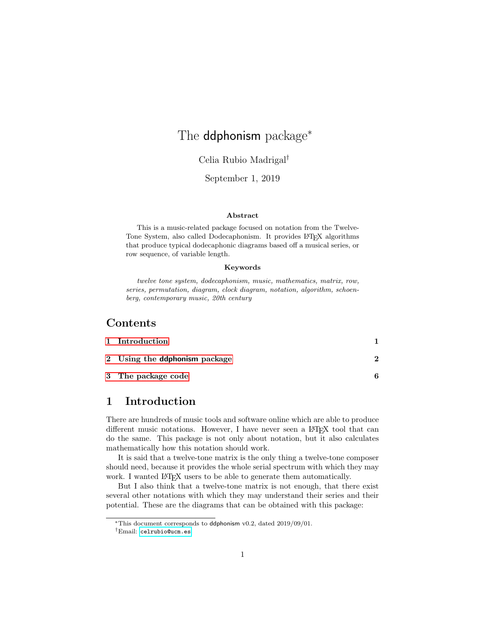# The **ddphonism** package<sup>\*</sup>

### Celia Rubio Madrigal†

### September 1, 2019

#### Abstract

This is a music-related package focused on notation from the Twelve-Tone System, also called Dodecaphonism. It provides LATEX algorithms that produce typical dodecaphonic diagrams based off a musical series, or row sequence, of variable length.

#### Keywords

twelve tone system, dodecaphonism, music, mathematics, matrix, row, series, permutation, diagram, clock diagram, notation, algorithm, schoenberg, contemporary music, 20th century

## **Contents**

| 1 Introduction                |  |
|-------------------------------|--|
| 2 Using the ddphonism package |  |
| 3 The package code            |  |

### <span id="page-0-0"></span>1 Introduction

There are hundreds of music tools and software online which are able to produce different music notations. However, I have never seen a LAT<sub>EX</sub> tool that can do the same. This package is not only about notation, but it also calculates mathematically how this notation should work.

It is said that a twelve-tone matrix is the only thing a twelve-tone composer should need, because it provides the whole serial spectrum with which they may work. I wanted LAT<sub>EX</sub> users to be able to generate them automatically.

But I also think that a twelve-tone matrix is not enough, that there exist several other notations with which they may understand their series and their potential. These are the diagrams that can be obtained with this package:

<sup>∗</sup>This document corresponds to ddphonism v0.2, dated 2019/09/01.

<sup>†</sup>Email: [celrubio@ucm.es](mailto:celrubio@ucm.es)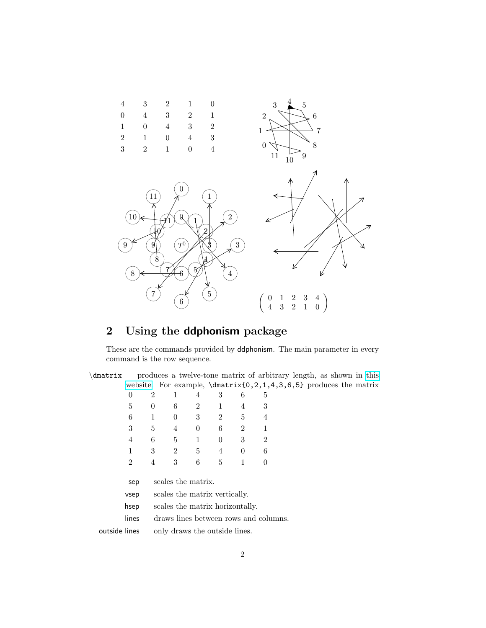

# <span id="page-1-0"></span>2 Using the ddphonism package

These are the commands provided by ddphonism. The main parameter in every command is the row sequence.

| \dmatrix      |                |                |                    |                                 |          |                |                                       | produces a twelve-tone matrix of arbitrary length, as shown in this |  |
|---------------|----------------|----------------|--------------------|---------------------------------|----------|----------------|---------------------------------------|---------------------------------------------------------------------|--|
|               |                |                |                    |                                 |          |                |                                       | website. For example, $\dagger(0,2,1,4,3,6,5)$ produces the matrix  |  |
|               | $\overline{0}$ | $\overline{2}$ | 1                  | 4                               | 3        | 6              | 5                                     |                                                                     |  |
|               | 5              | $\theta$       | 6                  | $\overline{2}$                  | 1        | 4              | 3                                     |                                                                     |  |
|               | 6              | 1              | $\theta$           | 3                               | 2        | 5              | 4                                     |                                                                     |  |
|               | 3              | 5              | 4                  | $\theta$                        | 6        | $\overline{2}$ | 1                                     |                                                                     |  |
|               | 4              | 6              | 5                  | $\mathbf{1}$                    | $\Omega$ | 3              | $\overline{2}$                        |                                                                     |  |
|               | 1              | 3              | $\overline{2}$     | 5                               | 4        | $\theta$       | 6                                     |                                                                     |  |
|               | $\overline{2}$ | 4              | 3                  | 6                               | 5        | 1              | $\theta$                              |                                                                     |  |
|               | sep            |                | scales the matrix. |                                 |          |                |                                       |                                                                     |  |
|               | vsep           |                |                    | scales the matrix vertically.   |          |                |                                       |                                                                     |  |
|               | hsep           |                |                    | scales the matrix horizontally. |          |                |                                       |                                                                     |  |
|               | lines          |                |                    |                                 |          |                | draws lines between rows and columns. |                                                                     |  |
| outside lines |                |                |                    | only draws the outside lines.   |          |                |                                       |                                                                     |  |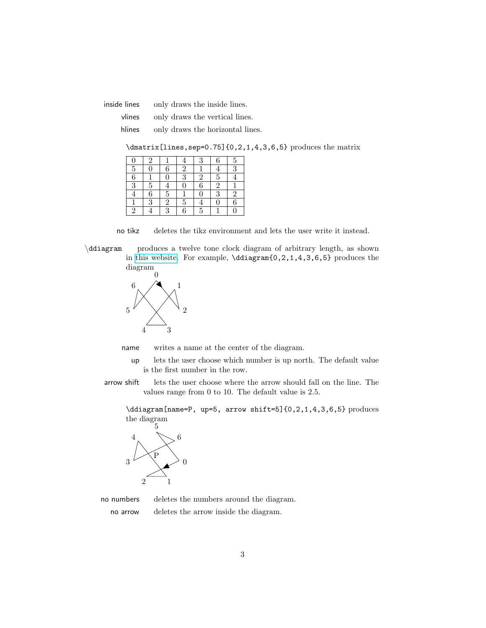inside lines only draws the inside lines.

vlines only draws the vertical lines.

hlines only draws the horizontal lines.

\dmatrix[lines,sep=0.75]{0,2,1,4,3,6,5} produces the matrix

|                | 2         |                |                | 3              |                | 5               |
|----------------|-----------|----------------|----------------|----------------|----------------|-----------------|
| $\overline{5}$ |           | 6              | $\overline{2}$ |                |                | $\overline{3}$  |
| $\overline{6}$ |           |                | 3              | $\overline{2}$ | 5              |                 |
| $\overline{3}$ | 5         |                | Ū              | 6              | $\overline{2}$ |                 |
|                | 6         | $\overline{5}$ |                | 0              | 3              | $\overline{2}$  |
|                | $\bar{3}$ | $\overline{2}$ | 5              |                |                | $6\phantom{.}6$ |
|                |           | Q              | 6              | 5              |                |                 |

no tikz deletes the tikz environment and lets the user write it instead.

\ddiagram produces a twelve tone clock diagram of arbitrary length, as shown in [this website.](https:diagramas.netlify.com) For example, \ddiagram{0,2,1,4,3,6,5} produces the diagram



name writes a name at the center of the diagram.

- up lets the user choose which number is up north. The default value is the first number in the row.
- arrow shift lets the user choose where the arrow should fall on the line. The values range from 0 to 10. The default value is 2.5.

\ddiagram[name=P, up=5, arrow shift=5]{0,2,1,4,3,6,5} produces the diagram



no numbers deletes the numbers around the diagram.

no arrow deletes the arrow inside the diagram.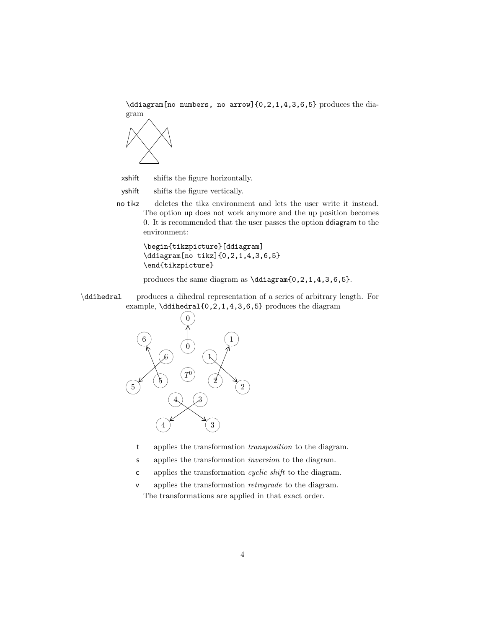

xshift shifts the figure horizontally.

- yshift shifts the figure vertically.
- no tikz deletes the tikz environment and lets the user write it instead. The option up does not work anymore and the up position becomes 0. It is recommended that the user passes the option ddiagram to the environment:

\begin{tikzpicture}[ddiagram] \ddiagram[no tikz]{0,2,1,4,3,6,5} \end{tikzpicture}

produces the same diagram as \ddiagram $\{0, 2, 1, 4, 3, 6, 5\}$ .

\ddihedral produces a dihedral representation of a series of arbitrary length. For example, \ddihedral{0,2,1,4,3,6,5} produces the diagram



- t applies the transformation transposition to the diagram.
- s applies the transformation inversion to the diagram.
- c applies the transformation cyclic shift to the diagram.
- v applies the transformation retrograde to the diagram. The transformations are applied in that exact order.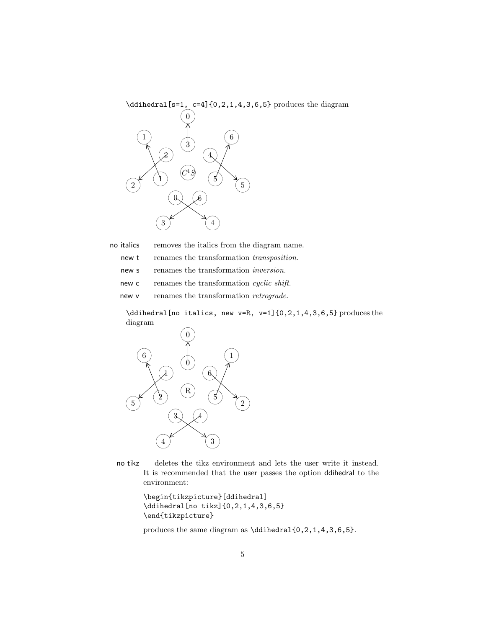

no italics removes the italics from the diagram name.

new t renames the transformation transposition.

- new s renames the transformation *inversion*.
- new c renames the transformation *cyclic shift*.

new v renames the transformation *retrograde*.

\ddihedral[no italics, new v=R, v=1]{0,2,1,4,3,6,5} produces the diagram



no tikz deletes the tikz environment and lets the user write it instead. It is recommended that the user passes the option ddihedral to the environment:

```
\begin{tikzpicture}[ddihedral]
\ddihedral[no tikz]{0,2,1,4,3,6,5}
\end{tikzpicture}
```
produces the same diagram as \ddihedral{0,2,1,4,3,6,5}.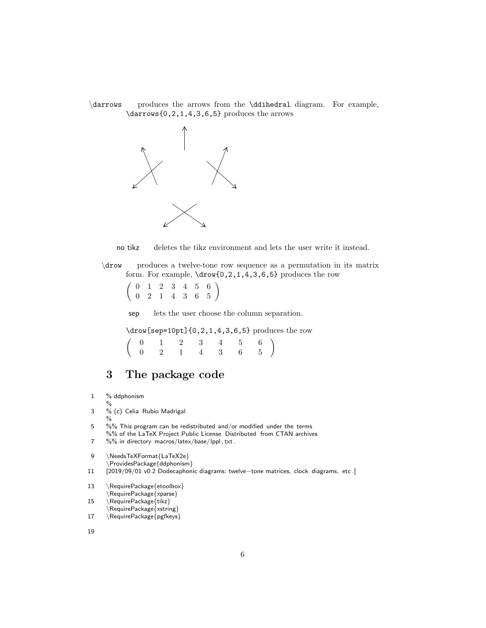





\drow produces a twelve-tone row sequence as a permutation in its matrix form. For example, \drow{0,2,1,4,3,6,5} produces the row

 $\left(\begin{array}{ccccccc} 0 & 1 & 2 & 3 & 4 & 5 & 6 \\ 0 & 2 & 1 & 4 & 3 & 6 & 5 \end{array}\right)$ 

sep lets the user choose the column separation.

\drow[sep=10pt]{0,2,1,4,3,6,5} produces the row

|  |  | $\left(\begin{array}{cccccc} 0 & 1 & 2 & 3 & 4 & 5 & 6 \\ 0 & 2 & 1 & 4 & 3 & 6 & 5 \end{array}\right)$ |  |  |
|--|--|---------------------------------------------------------------------------------------------------------|--|--|

## <span id="page-5-0"></span>3 The package code

- 1 % ddphonism %
- 3 % (c) Celia Rubio Madrigal
- $\%$
- 5 %% This program can be redistributed and/or modified under the terms %% of the LaTeX Project Public License Distributed from CTAN archives
- 7 %% in directory macros/latex/base/lppl . txt .

9 \NeedsTeXFormat{LaTeX2e} \ProvidesPackage{ddphonism}

- 11 [2019/09/01 v0.2 Dodecaphonic diagrams: twelve−tone matrices, clock diagrams, etc .]
- 13 \RequirePackage{etoolbox} \RequirePackage{xparse}
- 15 \RequirePackage{tikz}
- \RequirePackage{xstring}
- 17 \RequirePackage{pgfkeys}

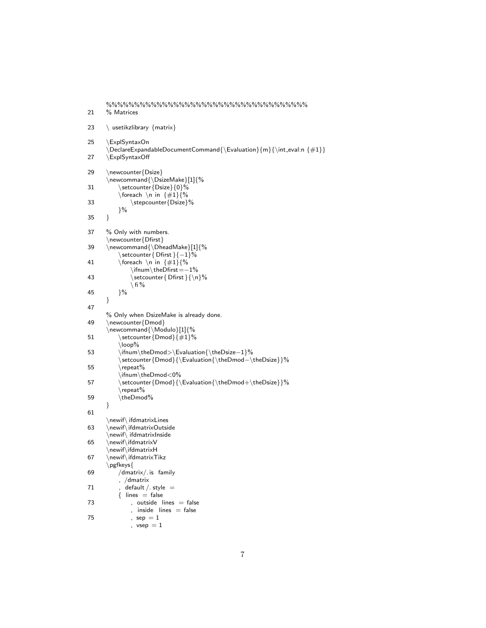```
%%%%%%%%%%%%%%%%%%%%%%%%%%%%%%%%%%%%
21 % Matrices
23 \ usetikzlibrary {matrix}
25 \ExplSyntaxOn
     \Delta \Delta \frac{1}{n}{\int eval: n \leq k \leq n - 127 \ExplSyntaxOff
29 \newcounter{Dsize}
     \newcommand{\DsizeMake}[1]{%
31 \setcounter{Dsize}{0}%
        \foreach \n in \{\#1\}\%
33 \stepcounter{Dsize}%
        }%
35 }
37 % Only with numbers.
     \newcounter{Dfirst}
39 \newcommand{\DheadMake}[1]{%
        \setcounter{ Dfirst }{−1}%
41 \foreach \n in \{\#1\}{%
            \ifnum\theDfirst=−1%
43 \setminus setcounter { Dfirst } {\n\setminus n}%
            \setminus fi %
45 }%
     }
47
     % Only when DsizeMake is already done.
49 \newcounter{Dmod}
     \newcommand{\Modulo}[1]{%
51 \setcounter {Dmod} \{\#1\}%
        \loop%
53 \ifnum\theDmod>\Evaluation{\theDsize−1}%
         \setcounter{Dmod}{\Evaluation{\theDmod−\theDsize}}%
55 \repeat%
        \ifnum\theDmod<0%
57 \setcounter {Dmod} {\Evaluation {\theDmod+\theDsize}}%
        \repeat%
59 \theDmod%
     }
61
     \newif\ ifdmatrixLines
63 \newif\ifdmatrixOutside
     \newif\ ifdmatrixInside
65 \newif\ifdmatrixV
     \newif\ifdmatrixH
67 \newif\ifdmatrixTikz
     \pgfkeys{
69 /dmatrix/. is family
        , /dmatrix
71 , default / style =\{ lines = false
73 , outside lines = false
            , inside lines = false75 \qquad \qquad ,\ \ \mathsf{sep}\ =1, vsep = 1
```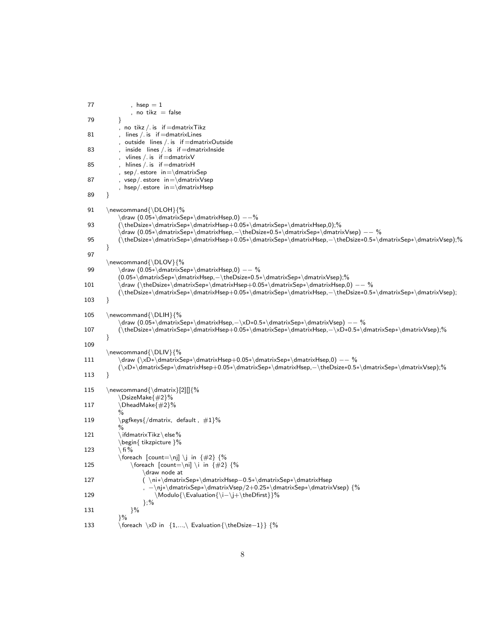```
77 , hsep = 1no tikz = false
79 }
          , no tikz /. is if =dmatrixTikz
81 , lines / is if = dmatrix Lines
          , outside lines /. is if =dmatrixOutside
83 , inside lines / is if =dmatrixInside
          , vlines / is if = dmatrix V
85 , hlines /. is if =dmatrixH
          , sep/. estore in=\dmatrixSep
87 , vsep/. estore in=\dmatrixVsep
          , hsep/ estore in=\dim\{H\}89 }
91 \newcommand{\DLOH}{%
          \draw (0.05∗\dmatrixSep∗\dmatrixHsep,0) −−%
93 (\theDsize∗\dmatrixSep∗\dmatrixHsep+0.05∗\dmatrixSep∗\dmatrixHsep,0);%
          \draw (0.05∗\dmatrixSep∗\dmatrixHsep,−\theDsize∗0.5∗\dmatrixSep∗\dmatrixVsep) −− %
95 (\theDsize∗\dmatrixSep∗\dmatrixHsep+0.05∗\dmatrixSep∗\dmatrixHsep,−\theDsize∗0.5∗\dmatrixSep∗\dmatrixVsep);%
      }
97
      \newcommand{\DLOV}{%
99 \draw (0.05∗\dmatrixSep∗\dmatrixHsep,0) −− %
          (0.05∗\dmatrixSep∗\dmatrixHsep,−\theDsize∗0.5∗\dmatrixSep∗\dmatrixVsep);%
101 \draw (\theDsize∗\dmatrixSep∗\dmatrixHsep+0.05∗\dmatrixSep∗\dmatrixHsep,0) −− %
          (\theDsize∗\dmatrixSep∗\dmatrixHsep+0.05∗\dmatrixSep∗\dmatrixHsep,−\theDsize∗0.5∗\dmatrixSep∗\dmatrixVsep);
103 }
105 \newcommand{\DLIH}{%
          \draw (0.05∗\dmatrixSep∗\dmatrixHsep,−\xD∗0.5∗\dmatrixSep∗\dmatrixVsep) −− %
107 (\theDsize∗\dmatrixSep∗\dmatrixHsep+0.05∗\dmatrixSep∗\dmatrixHsep,−\xD∗0.5∗\dmatrixSep∗\dmatrixVsep);%
      }
109
      \newcommand{\DLIV}{%
111 \draw (\xD∗\dmatrixSep∗\dmatrixHsep+0.05∗\dmatrixSep∗\dmatrixHsep,0) −− %
          (\xD∗\dmatrixSep∗\dmatrixHsep+0.05∗\dmatrixSep∗\dmatrixHsep,−\theDsize∗0.5∗\dmatrixSep∗\dmatrixVsep);%
113 }
115 \newcommand{\dmatrix}[2][]{%
          \DsizeMake{#2}%
117 \DheadMake{#2}%
          %
119 \pgfkeys\/dmatrix, default, #1}%
          0/2121 \ifmmode{\textrm{\cr}c}\else{thm:1.150} \ifdmatrixTikz \else %
          \begin{ tikzpicture }%
123 \ fi %
          \forall \foreach [count=\nj] \j in {#2} {%
125 \foreach \text{count}=\n\iint \{#2\} \{%\draw node at
127 ( \ni∗\dmatrixSep∗\dmatrixHsep−0.5∗\dmatrixSep∗\dmatrixHsep
                  , −\nj∗\dmatrixSep∗\dmatrixVsep/2+0.25∗\dmatrixSep∗\dmatrixVsep) {%
129 \Modulo{\Evaluation{\i−\j+\theDfirst}}%
                 \};%
131 }%
          }%
133 \foreach \xD in {1,...,\ Evaluation{\theDsize−1}} {%
```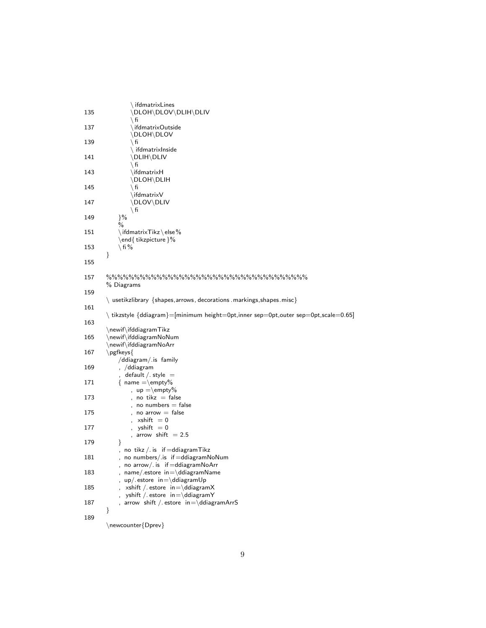| 135 | $\setminus$ ifdmatrixLines<br>\DLOH\DLOV\DLIH\DLIV<br>∖ fi                                    |
|-----|-----------------------------------------------------------------------------------------------|
| 137 | \ifdmatrixOutside<br>\DLOH\DLOV                                                               |
| 139 | ∖ fi<br>$\backslash$ ifdmatrixInside                                                          |
| 141 | \DLIH\DLIV<br>∖ fi                                                                            |
| 143 | \ifdmatrixH<br>\DLOH\DLIH                                                                     |
| 145 | $\setminus$ fi<br>$\langle$ ifdmatrix ${\sf V}$                                               |
| 147 | \DLOV\DLIV<br>$\setminus$ fi                                                                  |
| 149 | $\frac{1}{6}$<br>$\%$                                                                         |
| 151 | $\langle$ ifdmatrix $\textsf{Tikz}\setminus \textsf{else}\ \%$<br>\end{tikzpicture}%          |
| 153 | $\setminus$ fi $\%$<br>}                                                                      |
| 155 |                                                                                               |
| 157 | % Diagrams                                                                                    |
| 159 | \ usetikzlibrary {shapes, arrows, decorations . markings, shapes. misc}                       |
| 161 | tikzstyle {ddiagram}=[minimum height=0pt,inner sep=0pt,outer sep=0pt,scale=0.65]              |
| 163 |                                                                                               |
| 165 | $\neq$ newif ifddiagram Tikz<br>\newif\ifddiagramNoNum<br>\newif\ifddiagramNoArr              |
| 167 | \pgfkeys{                                                                                     |
| 169 | /ddiagram/.is family<br>, /ddiagram                                                           |
| 171 | $default / . style =$<br>$\{ name =\emptyset\}$                                               |
| 173 | $up = \emptyset$<br>no tikz $=$ false                                                         |
| 175 | no numbers $=$ false<br>$noarrow = false$                                                     |
| 177 | $xshift = 0$<br>$vshift = 0$                                                                  |
| 179 | arrow shift $= 2.5$<br>ł                                                                      |
| 181 | , no tikz $/$ . is if $=$ ddiagram $\pi$ ikz<br>no numbers/.is if=ddiagramNoNum               |
| 183 | no arrow/. is if=ddiagramNoArr<br>name/.estore in=\ddiagramName                               |
| 185 | $up$ . estore $in=\ddot{d}$ ddiagramUp<br>xshift / estore $in=\ddot{d}$ ddiagramX             |
| 187 | yshift / estore $in=\ddot{d}$ ddiagramY<br>arrow shift / estore $in=\ddot{d}$ ddiagram $ArrS$ |
| 189 | }                                                                                             |
|     | \newcounter{Dprev}                                                                            |

9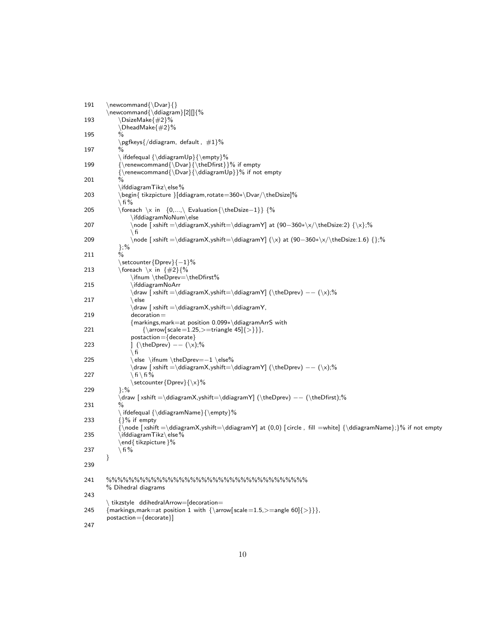| 191 | $\newcommand{\D}{\text{var}}$<br>$\text{newcommand}\{\ddot\$                                                                                                                                                                                      |
|-----|---------------------------------------------------------------------------------------------------------------------------------------------------------------------------------------------------------------------------------------------------|
| 193 | \DsizeMake{#2}%<br>\DheadMake{#2}%                                                                                                                                                                                                                |
| 195 | ℅                                                                                                                                                                                                                                                 |
| 197 | $\pgfkeys$ /ddiagram, default, $\#1\%$<br>$\frac{0}{0}$                                                                                                                                                                                           |
|     | ifdefequal ${\ddot{\text{op}} {\text{empty}}\%$                                                                                                                                                                                                   |
| 199 | {\renewcommand{\Dvar}{\theDfirst}}% if empty<br>${\varepsilon}{\boldsymbol{\Delta} \$ {\renewcommand{\Dvar}{\ddiagramUp}}% if not empty                                                                                                           |
| 201 | $\%$                                                                                                                                                                                                                                              |
| 203 | $\left\{ \left( \frac{1}{k^2} \right) \right\}$<br>\begin{ tikzpicture }[ddiagram, rotate=360*\Dvar/\theDsize]%<br>\ fi $\%$                                                                                                                      |
| 205 | $\l \text{for each } \x \in \{0, \ldots, \}$ Evaluation { \the Dsize - 1 } { \thespace \test{\sigma_{\sigma_{\sigma_{\sigma_{\sigma_{\sigma_{\sigma_{\sigma_{\sigma_{\sigma_{\sigma_{\sigma_{\sigma_{\sigma_{\sigma_{\sigma_{\sigma_{\sigma_{\sig |
| 207 | \ifddiagramNoNum\else<br>\node [xshift =\ddiagramX,yshift=\ddiagramY] at (90-360*\x/\theDsize:2) {\x};%                                                                                                                                           |
|     | ∖ fi                                                                                                                                                                                                                                              |
| 209 | \node [xshift =\ddiagramX,yshift=\ddiagramY] (\x) at (90—360*\x/\theDsize:1.6) {};%                                                                                                                                                               |
| 211 | };%                                                                                                                                                                                                                                               |
| 213 | $\setminus$ setcounter $\{D$ prev $\{-1\}\%$<br>\foreach \x in $\{\#2\}\$                                                                                                                                                                         |
|     | \ifnum \theDprev=\theDfirst%                                                                                                                                                                                                                      |
| 215 | \ifddiagramNoArr<br>\draw [xshift =\ddiagramX,yshift=\ddiagramY] (\theDprev) -- (\x);%                                                                                                                                                            |
| 217 | ∖ else                                                                                                                                                                                                                                            |
| 219 | $\d$ raw $\dagger$ xshift = \ddiagramX, yshift = \ddiagramY,<br>$decoration =$                                                                                                                                                                    |
|     | ${markings, mark = at position 0.099*\ddot{diagramArr} with}$                                                                                                                                                                                     |
| 221 | $\{\arrow$ scale = 1.25, > = triangle 45 $\{\}\}$ ,                                                                                                                                                                                               |
| 223 | $postaction = {decorate}$<br>] (\theDprev) $--$ (\x);%                                                                                                                                                                                            |
|     | ∖ fi                                                                                                                                                                                                                                              |
| 225 | \else \ifnum \theDprev=-1 \else%<br>$\d$ raw [xshift = \ddiagramX, yshift = \ddiagramY] (\theDprev) -- (\x);%                                                                                                                                     |
| 227 | ∖fi∖fi%                                                                                                                                                                                                                                           |
| 229 | $\setminus$ setcounter $\{D$ prev $\}\setminus \setminus \$ %<br>$};\%$                                                                                                                                                                           |
|     | \draw [xshift =\ddiagramX,yshift=\ddiagramY] (\theDprev) -- (\theDfirst);%                                                                                                                                                                        |
| 231 | %<br>\ifdefequal {\ddiagramName}{\empty}%                                                                                                                                                                                                         |
| 233 | $\{$ $\%$ if empty                                                                                                                                                                                                                                |
| 235 | $\{\n  node [xshift = \ddiagramX, yshift = \ddiagramY] at (0,0) [circle, fill = white] {\ddiagramName}; }\% if not empty.$<br>$\left\{ \left( \frac{1}{k^2} \right) \right\}$                                                                     |
| 237 | \end{ tikzpicture }%<br>\ fi %                                                                                                                                                                                                                    |
|     | ł                                                                                                                                                                                                                                                 |
| 239 |                                                                                                                                                                                                                                                   |
| 241 | % Dihedral diagrams                                                                                                                                                                                                                               |
| 243 |                                                                                                                                                                                                                                                   |
| 245 | $\backslash$ tikzstyle ddihedral $Arrow$ [decoration $=$<br>$\{markings, mark=at position 1 with \{ \arrow\} scale = 1.5, \gt;=angle 60$ $\{\gt\}\},$<br>postaction={decorate}]                                                                   |
| 247 |                                                                                                                                                                                                                                                   |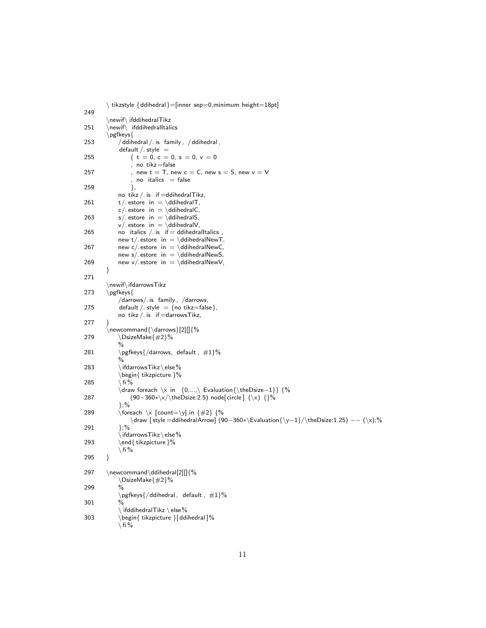```
\ tikzstyle {ddihedral}=[inner sep=0,minimum height=18pt]
249
       \newif\ ifddihedralTikz
251 \newif\ ifddihedralItalics
       \pgfkeys{
253 / ddihedral / . is family, / ddihedral,
           default /. style =255 \{ t = 0, c = 0, s = 0, v = 0 \}, no tikz =false
257 , new t = T, new c = C, new s = S, new v = V, no italics = false
259 },
           no tikz /. is if =ddihedralTikz,
261 t/. estore in = \ddot{\text{d}},
           c/. estore in = \ddihedralC,
263 s/. estore in = \ddot{\text{ddihedralS}},
           v/. estore in = \ddot{\text{d}}ddihedralV,
265 no italics / is if = ddihedralltalics,
           new t/. estore in = \ddot{\theta} ddihedralNewT,
267 new c/ estore in = \ddot{\text{d}} ddihedralNewC,
           new s/ estore in = \ddot{\text{del} heats = \ddihedralNewS,
269 new v/ estore in = \ddot{\text{d}} ddihedralNewV,
       }
271
       \newif\ifdarrowsTikz
273 \pgfkeys{
           /darrows/. is family , /darrows,
275 default / style = {no tikz=false},
           no tikz /. is if =darrowsTikz,
277 }
       \warrow \newcommand{\darrows}[2][]{%
279 \DsizeMake{#2}%
           %
281 \pgfkeys\{\frac{d}{dt}, \pm 1\%%
283 \iint\text{d}arrowsTikz\text{else}\%\begin{ tikzpicture }%
285 \mathcal{A} fi %
           \draw foreach \x in {0,...,\ Evaluation{\theDsize−1}} {%
287 (90−360*\x/\theDsize:2.5) node[circle] (\x) {}%
           \cdot\%289 \qquad \qquad \text{(for each } \x \text{ [count=}\y\text{] in } \{\#2\} \ \text{\{%}\draw [ style =ddihedralArrow] (90−360∗\Evaluation{\y−1}/\theDsize:1.25) −− (\x);%
291 };%
           \setminus ifdarrowsTikz\setminuselse%
293 \end{ tikzpicture }%
           \setminus fi %
295 }
297 \newcommand\ddihedral[2][]{%
           \DsizeMake{#2}%
299 %
           \pgfkeys ddihedral, default, \#1\%301 %
           \setminus ifddihedralTikz \setminus else%
303 \begin{ tikzpicture }[ ddihedral ]%
           \setminus fi %
```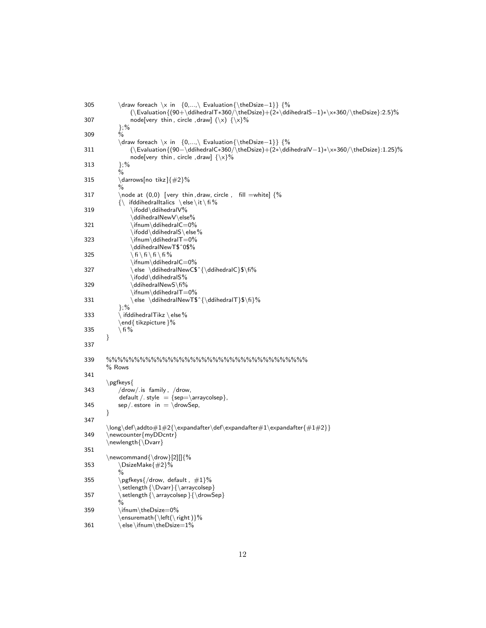| 305 | \draw foreach \x in $\{0,,\}$ Evaluation $\{\theDisize-1\}$ $\%$<br>$(\text{Couluation} (90+\ddot{\text{adhedral}} + 360/\theta)$                                                                                                                                                                                                                                                                                                                                                                                                          |
|-----|--------------------------------------------------------------------------------------------------------------------------------------------------------------------------------------------------------------------------------------------------------------------------------------------------------------------------------------------------------------------------------------------------------------------------------------------------------------------------------------------------------------------------------------------|
| 307 | node[very thin, circle, draw] $(\x)$ $\{\x\}$ %<br>$};\%$                                                                                                                                                                                                                                                                                                                                                                                                                                                                                  |
| 309 | $\frac{0}{0}$                                                                                                                                                                                                                                                                                                                                                                                                                                                                                                                              |
| 311 | \draw foreach \x in $\{0,,\}$ Evaluation $\{ \the Disize-1 \}$ $\%$<br>node[very thin, circle, draw] $\{\x\}\%$                                                                                                                                                                                                                                                                                                                                                                                                                            |
| 313 | $};\%$<br>$\%$                                                                                                                                                                                                                                                                                                                                                                                                                                                                                                                             |
| 315 | \darrows[no tikz]{#2}%<br>℅                                                                                                                                                                                                                                                                                                                                                                                                                                                                                                                |
| 317 | \node at $(0,0)$ [very thin, draw, circle, fill =white] $\frac{6}{6}$<br>$\{\n\$ ifddihedralltalics $\ \else$ \times \telse \it \fi \ \times \else \it \fi \else \else \times \else \times \times \else \times \times \times \times \times \times \times \times \times \times \times \times \times \times \                                                                                                                                                                                                                                |
| 319 | \ifodd\ddihedralV%                                                                                                                                                                                                                                                                                                                                                                                                                                                                                                                         |
| 321 | \ddihedralNewV\else%                                                                                                                                                                                                                                                                                                                                                                                                                                                                                                                       |
| 323 | \ifnum\ddihedralT=0%                                                                                                                                                                                                                                                                                                                                                                                                                                                                                                                       |
| 325 | \ddihedralNewT\$^0\$%<br>$\langle f_i \rangle$ fi $\langle f_i \rangle$ fi $\%$                                                                                                                                                                                                                                                                                                                                                                                                                                                            |
| 327 | \else \ddihedralNewC\$^{\ddihedralC}\$\fi%                                                                                                                                                                                                                                                                                                                                                                                                                                                                                                 |
| 329 | \ifodd\ddihedralS%<br>\ddihedralNewS\fi%                                                                                                                                                                                                                                                                                                                                                                                                                                                                                                   |
| 331 | \ifnum\ddihedralT=0%<br>\else \ddihedralNewT\$^{\ddihedralT}\$\fi}%                                                                                                                                                                                                                                                                                                                                                                                                                                                                        |
| 333 | $};\%$<br>$\backslash$ ifddihedral $\textsf{T}$ ikz $\backslash$ else $\%$                                                                                                                                                                                                                                                                                                                                                                                                                                                                 |
| 335 | \end{ tikzpicture }%<br>\ fi %                                                                                                                                                                                                                                                                                                                                                                                                                                                                                                             |
| 337 | }                                                                                                                                                                                                                                                                                                                                                                                                                                                                                                                                          |
| 339 | % Rows                                                                                                                                                                                                                                                                                                                                                                                                                                                                                                                                     |
| 341 |                                                                                                                                                                                                                                                                                                                                                                                                                                                                                                                                            |
| 343 | \pgfkeys{<br>$/drow/$ is family, $/drow$ ,<br>default / style = {sep=\arraycolsep},                                                                                                                                                                                                                                                                                                                                                                                                                                                        |
| 345 | $sep/.$ estore in $= \d$ rowSep,<br>}                                                                                                                                                                                                                                                                                                                                                                                                                                                                                                      |
| 347 | $\long\def\addto\#1\#2{\expandafter\def\expandafter\#1\expandafter{#1\#2}}$                                                                                                                                                                                                                                                                                                                                                                                                                                                                |
| 349 | \newcounter{myDDcntr}<br>$\neq$ newlength $\Dvar$                                                                                                                                                                                                                                                                                                                                                                                                                                                                                          |
| 351 |                                                                                                                                                                                                                                                                                                                                                                                                                                                                                                                                            |
| 353 | $\newcommand{\\omega}{\newcommand{\hspace}{\hspace{-0.6em}}\hspace{-0.6em}\newcommand{\hspace}{\hspace{-0.6em}}\hspace{-0.6em}\newcommand{\hspace}{\hspace{-0.6em}\newcommand{\hspace}{\hspace{-0.6em}\newcommand{\hspace}{\hspace{-0.6em}\newcommand{\hspace}{\hspace{-0.6em}\newcommand{\hspace}{\hspace{-0.6em}\newcommand{\hspace}{\hspace{-0.6em}\newcommand{\hspace}{\hspace{-0.6em}\newpace}{\hspace{-0.6em}\newpace{-0.6em}\newpace{-0.6em}\newpace{-0.6em}\newpace{-0.6em}\newpace{-0.6em}\hspace{-0.6em$<br>\DsizeMake{#2}%<br>% |
| 355 | \pgfkeys{/drow, default, #1}%<br>$\setminus \setminus \setminus \{\setminus \text{array} \}$                                                                                                                                                                                                                                                                                                                                                                                                                                               |
| 357 | \setlength {\arraycolsep}{\drowSep}<br>%                                                                                                                                                                                                                                                                                                                                                                                                                                                                                                   |
| 359 | \ifnum\theDsize=0%<br>\ensuremath{\left(\right)}%                                                                                                                                                                                                                                                                                                                                                                                                                                                                                          |
| 361 | \else\ifnum\theDsize=1%                                                                                                                                                                                                                                                                                                                                                                                                                                                                                                                    |